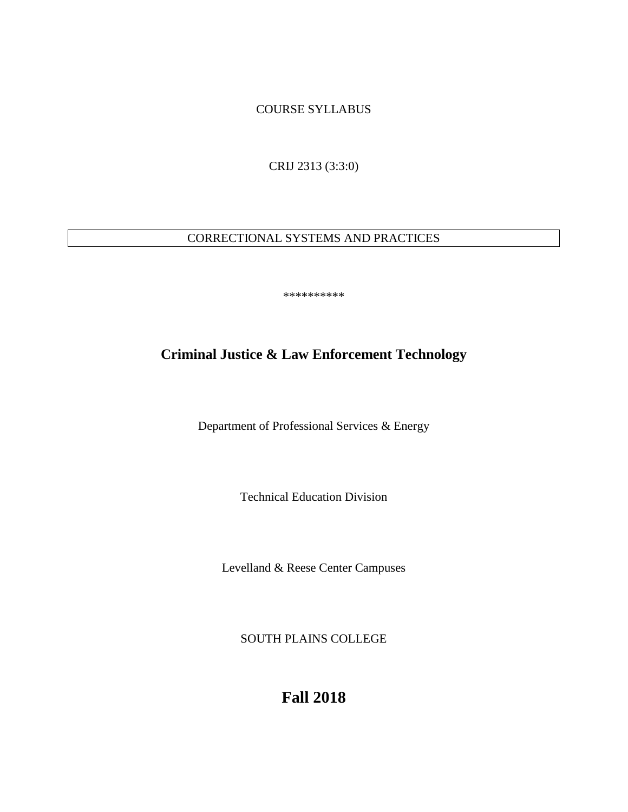COURSE SYLLABUS

CRIJ 2313 (3:3:0)

# CORRECTIONAL SYSTEMS AND PRACTICES

\*\*\*\*\*\*\*\*\*\*

# **Criminal Justice & Law Enforcement Technology**

Department of Professional Services & Energy

Technical Education Division

Levelland & Reese Center Campuses

SOUTH PLAINS COLLEGE

**Fall 2018**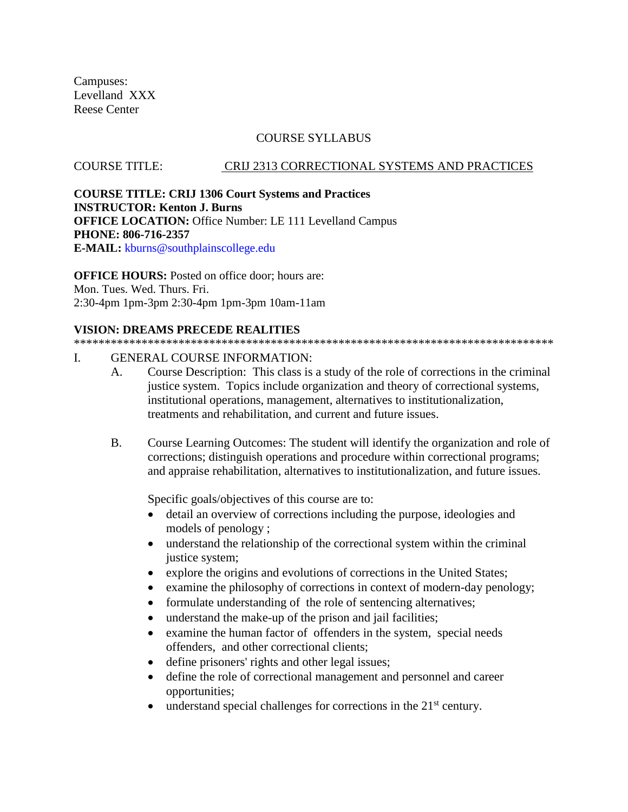Campuses: Levelland XXX Reese Center

## COURSE SYLLABUS

#### COURSE TITLE: CRIJ 2313 CORRECTIONAL SYSTEMS AND PRACTICES

**COURSE TITLE: CRIJ 1306 Court Systems and Practices INSTRUCTOR: Kenton J. Burns OFFICE LOCATION:** Office Number: LE 111 Levelland Campus **PHONE: 806-716-2357 E-MAIL:** kburns@southplainscollege.edu

**OFFICE HOURS:** Posted on office door; hours are: Mon. Tues. Wed. Thurs. Fri. 2:30-4pm 1pm-3pm 2:30-4pm 1pm-3pm 10am-11am

#### **VISION: DREAMS PRECEDE REALITIES**

\*\*\*\*\*\*\*\*\*\*\*\*\*\*\*\*\*\*\*\*\*\*\*\*\*\*\*\*\*\*\*\*\*\*\*\*\*\*\*\*\*\*\*\*\*\*\*\*\*\*\*\*\*\*\*\*\*\*\*\*\*\*\*\*\*\*\*\*\*\*\*\*\*\*\*\*\*\*

## I. GENERAL COURSE INFORMATION:

- A. Course Description: This class is a study of the role of corrections in the criminal justice system. Topics include organization and theory of correctional systems, institutional operations, management, alternatives to institutionalization, treatments and rehabilitation, and current and future issues.
- B. Course Learning Outcomes: The student will identify the organization and role of corrections; distinguish operations and procedure within correctional programs; and appraise rehabilitation, alternatives to institutionalization, and future issues.

Specific goals/objectives of this course are to:

- detail an overview of corrections including the purpose, ideologies and models of penology ;
- understand the relationship of the correctional system within the criminal justice system;
- explore the origins and evolutions of corrections in the United States;
- examine the philosophy of corrections in context of modern-day penology;
- formulate understanding of the role of sentencing alternatives;
- understand the make-up of the prison and jail facilities;
- examine the human factor of offenders in the system, special needs offenders, and other correctional clients;
- define prisoners' rights and other legal issues;
- define the role of correctional management and personnel and career opportunities;
- understand special challenges for corrections in the  $21<sup>st</sup>$  century.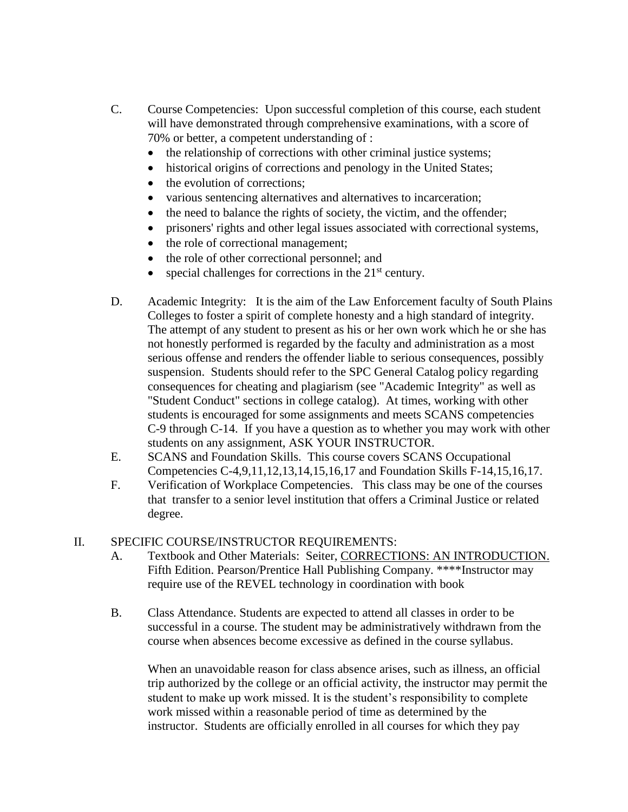- C. Course Competencies: Upon successful completion of this course, each student will have demonstrated through comprehensive examinations, with a score of 70% or better, a competent understanding of :
	- the relationship of corrections with other criminal justice systems;
	- historical origins of corrections and penology in the United States;
	- the evolution of corrections;
	- various sentencing alternatives and alternatives to incarceration;
	- the need to balance the rights of society, the victim, and the offender;
	- prisoners' rights and other legal issues associated with correctional systems,
	- the role of correctional management;
	- the role of other correctional personnel; and
	- special challenges for corrections in the 21<sup>st</sup> century.
- D. Academic Integrity: It is the aim of the Law Enforcement faculty of South Plains Colleges to foster a spirit of complete honesty and a high standard of integrity. The attempt of any student to present as his or her own work which he or she has not honestly performed is regarded by the faculty and administration as a most serious offense and renders the offender liable to serious consequences, possibly suspension. Students should refer to the SPC General Catalog policy regarding consequences for cheating and plagiarism (see "Academic Integrity" as well as "Student Conduct" sections in college catalog). At times, working with other students is encouraged for some assignments and meets SCANS competencies C-9 through C-14. If you have a question as to whether you may work with other students on any assignment, ASK YOUR INSTRUCTOR.
- E. SCANS and Foundation Skills. This course covers SCANS Occupational Competencies C-4,9,11,12,13,14,15,16,17 and Foundation Skills F-14,15,16,17.
- F. Verification of Workplace Competencies. This class may be one of the courses that transfer to a senior level institution that offers a Criminal Justice or related degree.

## II. SPECIFIC COURSE/INSTRUCTOR REQUIREMENTS:

- A. Textbook and Other Materials: Seiter, CORRECTIONS: AN INTRODUCTION. Fifth Edition. Pearson/Prentice Hall Publishing Company. \*\*\*\*Instructor may require use of the REVEL technology in coordination with book
- B. Class Attendance. Students are expected to attend all classes in order to be successful in a course. The student may be administratively withdrawn from the course when absences become excessive as defined in the course syllabus.

When an unavoidable reason for class absence arises, such as illness, an official trip authorized by the college or an official activity, the instructor may permit the student to make up work missed. It is the student's responsibility to complete work missed within a reasonable period of time as determined by the instructor. Students are officially enrolled in all courses for which they pay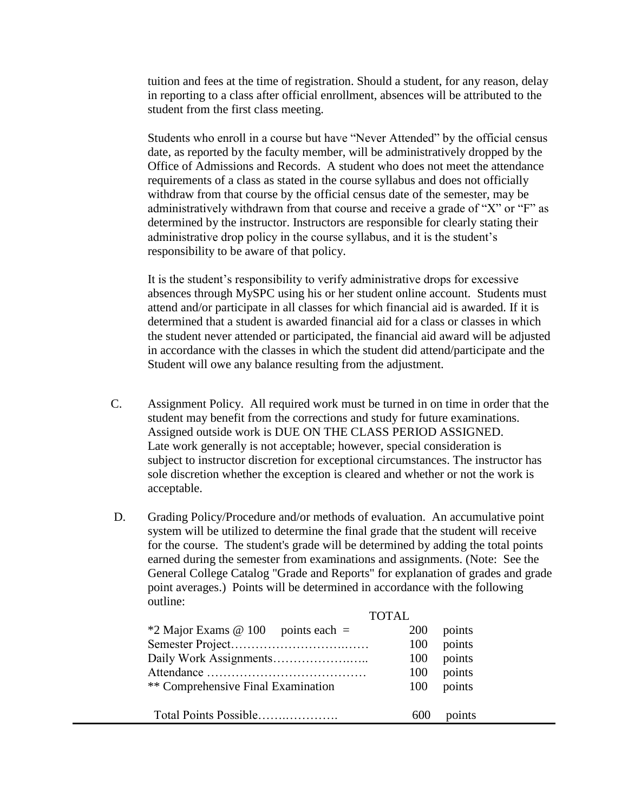tuition and fees at the time of registration. Should a student, for any reason, delay in reporting to a class after official enrollment, absences will be attributed to the student from the first class meeting.

Students who enroll in a course but have "Never Attended" by the official census date, as reported by the faculty member, will be administratively dropped by the Office of Admissions and Records. A student who does not meet the attendance requirements of a class as stated in the course syllabus and does not officially withdraw from that course by the official census date of the semester, may be administratively withdrawn from that course and receive a grade of "X" or "F" as determined by the instructor. Instructors are responsible for clearly stating their administrative drop policy in the course syllabus, and it is the student's responsibility to be aware of that policy.

It is the student's responsibility to verify administrative drops for excessive absences through MySPC using his or her student online account. Students must attend and/or participate in all classes for which financial aid is awarded. If it is determined that a student is awarded financial aid for a class or classes in which the student never attended or participated, the financial aid award will be adjusted in accordance with the classes in which the student did attend/participate and the Student will owe any balance resulting from the adjustment.

- C. Assignment Policy. All required work must be turned in on time in order that the student may benefit from the corrections and study for future examinations. Assigned outside work is DUE ON THE CLASS PERIOD ASSIGNED. Late work generally is not acceptable; however, special consideration is subject to instructor discretion for exceptional circumstances. The instructor has sole discretion whether the exception is cleared and whether or not the work is acceptable.
- D. Grading Policy/Procedure and/or methods of evaluation. An accumulative point system will be utilized to determine the final grade that the student will receive for the course. The student's grade will be determined by adding the total points earned during the semester from examinations and assignments. (Note: See the General College Catalog "Grade and Reports" for explanation of grades and grade point averages.) Points will be determined in accordance with the following outline:

| <b>TOTAL</b>                         |            |        |
|--------------------------------------|------------|--------|
| $*2$ Major Exams @ 100 points each = | <b>200</b> | points |
|                                      | 100        | points |
|                                      | 100        | points |
|                                      | 100        | points |
| ** Comprehensive Final Examination   | 100        | points |
| Total Points Possible                | 600        | points |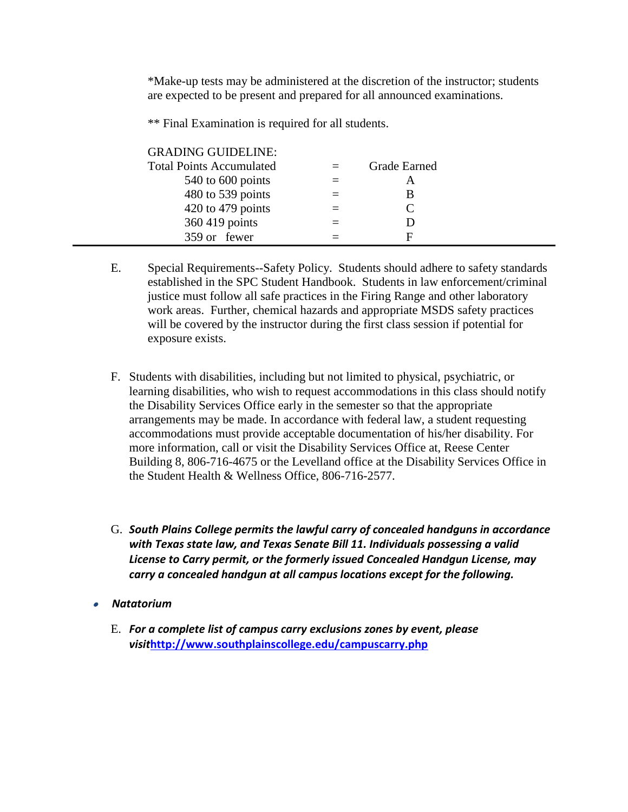\*Make-up tests may be administered at the discretion of the instructor; students are expected to be present and prepared for all announced examinations.

\*\* Final Examination is required for all students.

| <b>GRADING GUIDELINE:</b>       |     |              |  |
|---------------------------------|-----|--------------|--|
| <b>Total Points Accumulated</b> |     | Grade Earned |  |
| 540 to 600 points               | $=$ | A            |  |
| 480 to 539 points               |     | В            |  |
| $420$ to $479$ points           |     |              |  |
| 360 419 points                  |     |              |  |
| 359 or fewer                    |     | F            |  |

- E. Special Requirements--Safety Policy. Students should adhere to safety standards established in the SPC Student Handbook. Students in law enforcement/criminal justice must follow all safe practices in the Firing Range and other laboratory work areas. Further, chemical hazards and appropriate MSDS safety practices will be covered by the instructor during the first class session if potential for exposure exists.
- F. Students with disabilities, including but not limited to physical, psychiatric, or learning disabilities, who wish to request accommodations in this class should notify the Disability Services Office early in the semester so that the appropriate arrangements may be made. In accordance with federal law, a student requesting accommodations must provide acceptable documentation of his/her disability. For more information, call or visit the Disability Services Office at, Reese Center Building 8, 806-716-4675 or the Levelland office at the Disability Services Office in the Student Health & Wellness Office, 806-716-2577.
- G. *South Plains College permits the lawful carry of concealed handguns in accordance with Texas state law, and Texas Senate Bill 11. Individuals possessing a valid License to Carry permit, or the formerly issued Concealed Handgun License, may carry a concealed handgun at all campus locations except for the following.*
- • *Natatorium*
	- E. *For a complete list of campus carry exclusions zones by event, please visit***<http://www.southplainscollege.edu/campuscarry.php>**